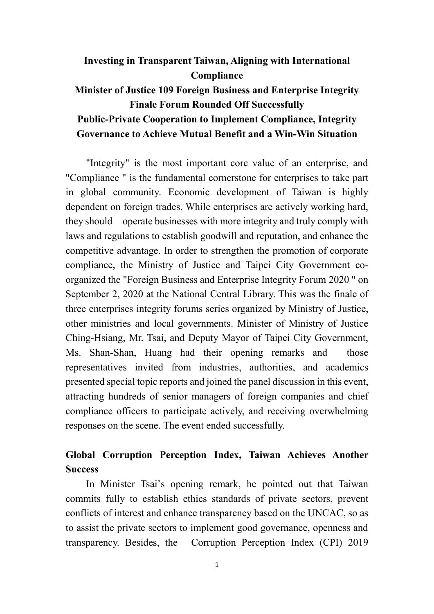## **Investing in Transparent Taiwan, Aligning with International Compliance Minister of Justice 109 Foreign Business and Enterprise Integrity Finale Forum Rounded Off Successfully Public-Private Cooperation to Implement Compliance, Integrity Governance to Achieve Mutual Benefit and a Win-Win Situation**

"Integrity" is the most important core value of an enterprise, and "Compliance " is the fundamental cornerstone for enterprises to take part in global community. Economic development of Taiwan is highly dependent on foreign trades. While enterprises are actively working hard, they should operate businesses with more integrity and truly comply with laws and regulations to establish goodwill and reputation, and enhance the competitive advantage. In order to strengthen the promotion of corporate compliance, the Ministry of Justice and Taipei City Government coorganized the "Foreign Business and Enterprise Integrity Forum 2020 " on September 2, 2020 at the National Central Library. This was the finale of three enterprises integrity forums series organized by Ministry of Justice, other ministries and local governments. Minister of Ministry of Justice Ching-Hsiang, Mr. Tsai, and Deputy Mayor of Taipei City Government, Ms. Shan-Shan, Huang had their opening remarks and those representatives invited from industries, authorities, and academics presented special topic reports and joined the panel discussion in this event, attracting hundreds of senior managers of foreign companies and chief compliance officers to participate actively, and receiving overwhelming responses on the scene. The event ended successfully.

## **Global Corruption Perception Index, Taiwan Achieves Another Success**

In Minister Tsai's opening remark, he pointed out that Taiwan commits fully to establish ethics standards of private sectors, prevent conflicts of interest and enhance transparency based on the UNCAC, so as to assist the private sectors to implement good governance, openness and transparency. Besides, the Corruption Perception Index (CPI) 2019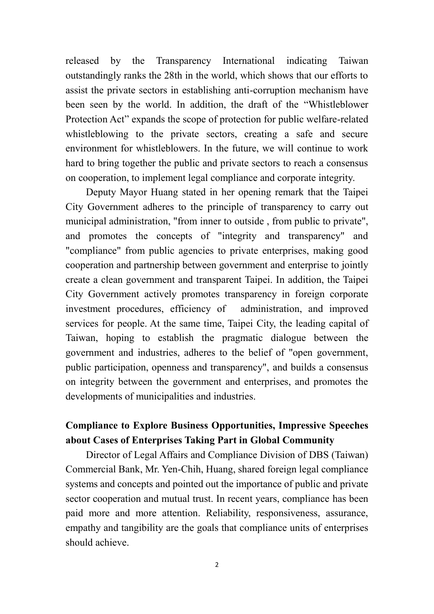released by the Transparency International indicating Taiwan outstandingly ranks the 28th in the world, which shows that our efforts to assist the private sectors in establishing anti-corruption mechanism have been seen by the world. In addition, the draft of the "Whistleblower Protection Act" expands the scope of protection for public welfare-related whistleblowing to the private sectors, creating a safe and secure environment for whistleblowers. In the future, we will continue to work hard to bring together the public and private sectors to reach a consensus on cooperation, to implement legal compliance and corporate integrity.

Deputy Mayor Huang stated in her opening remark that the Taipei City Government adheres to the principle of transparency to carry out municipal administration, "from inner to outside , from public to private", and promotes the concepts of "integrity and transparency" and "compliance" from public agencies to private enterprises, making good cooperation and partnership between government and enterprise to jointly create a clean government and transparent Taipei. In addition, the Taipei City Government actively promotes transparency in foreign corporate investment procedures, efficiency of administration, and improved services for people. At the same time, Taipei City, the leading capital of Taiwan, hoping to establish the pragmatic dialogue between the government and industries, adheres to the belief of "open government, public participation, openness and transparency", and builds a consensus on integrity between the government and enterprises, and promotes the developments of municipalities and industries.

## **Compliance to Explore Business Opportunities, Impressive Speeches about Cases of Enterprises Taking Part in Global Community**

Director of Legal Affairs and Compliance Division of DBS (Taiwan) Commercial Bank, Mr. Yen-Chih, Huang, shared foreign legal compliance systems and concepts and pointed out the importance of public and private sector cooperation and mutual trust. In recent years, compliance has been paid more and more attention. Reliability, responsiveness, assurance, empathy and tangibility are the goals that compliance units of enterprises should achieve.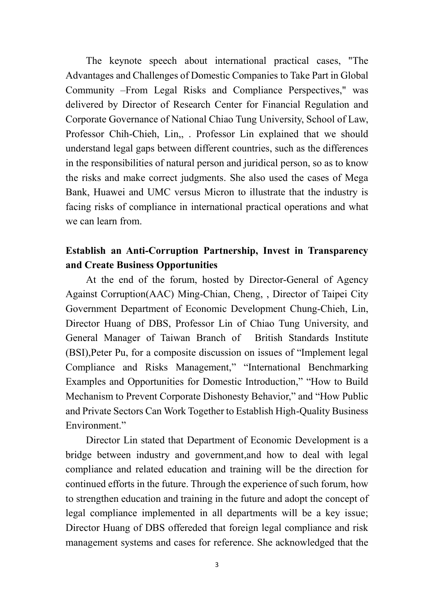The keynote speech about international practical cases, "The Advantages and Challenges of Domestic Companies to Take Part in Global Community –From Legal Risks and Compliance Perspectives," was delivered by Director of Research Center for Financial Regulation and Corporate Governance of National Chiao Tung University, School of Law, Professor Chih-Chieh, Lin,, . Professor Lin explained that we should understand legal gaps between different countries, such as the differences in the responsibilities of natural person and juridical person, so as to know the risks and make correct judgments. She also used the cases of Mega Bank, Huawei and UMC versus Micron to illustrate that the industry is facing risks of compliance in international practical operations and what we can learn from.

## **Establish an Anti-Corruption Partnership, Invest in Transparency and Create Business Opportunities**

At the end of the forum, hosted by Director-General of Agency Against Corruption(AAC) Ming-Chian, Cheng, , Director of Taipei City Government Department of Economic Development Chung-Chieh, Lin, Director Huang of DBS, Professor Lin of Chiao Tung University, and General Manager of Taiwan Branch of British Standards Institute (BSI),Peter Pu, for a composite discussion on issues of "Implement legal Compliance and Risks Management," "International Benchmarking Examples and Opportunities for Domestic Introduction," "How to Build Mechanism to Prevent Corporate Dishonesty Behavior," and "How Public and Private Sectors Can Work Together to Establish High-Quality Business Environment."

Director Lin stated that Department of Economic Development is a bridge between industry and government,and how to deal with legal compliance and related education and training will be the direction for continued efforts in the future. Through the experience of such forum, how to strengthen education and training in the future and adopt the concept of legal compliance implemented in all departments will be a key issue; Director Huang of DBS offereded that foreign legal compliance and risk management systems and cases for reference. She acknowledged that the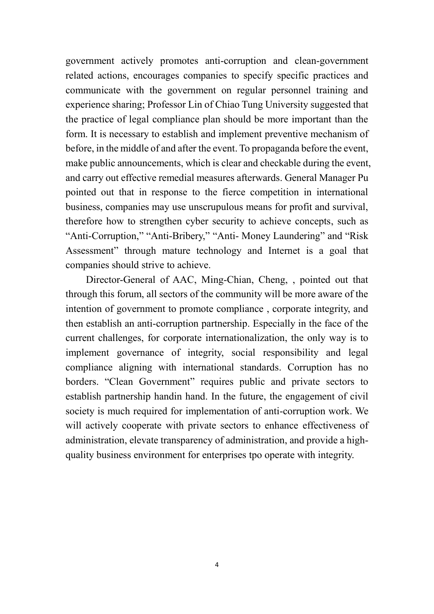government actively promotes anti-corruption and clean-government related actions, encourages companies to specify specific practices and communicate with the government on regular personnel training and experience sharing; Professor Lin of Chiao Tung University suggested that the practice of legal compliance plan should be more important than the form. It is necessary to establish and implement preventive mechanism of before, in the middle of and after the event. To propaganda before the event, make public announcements, which is clear and checkable during the event, and carry out effective remedial measures afterwards. General Manager Pu pointed out that in response to the fierce competition in international business, companies may use unscrupulous means for profit and survival, therefore how to strengthen cyber security to achieve concepts, such as "Anti-Corruption," "Anti-Bribery," "Anti- Money Laundering" and "Risk Assessment" through mature technology and Internet is a goal that companies should strive to achieve.

Director-General of AAC, Ming-Chian, Cheng, , pointed out that through this forum, all sectors of the community will be more aware of the intention of government to promote compliance , corporate integrity, and then establish an anti-corruption partnership. Especially in the face of the current challenges, for corporate internationalization, the only way is to implement governance of integrity, social responsibility and legal compliance aligning with international standards. Corruption has no borders. "Clean Government" requires public and private sectors to establish partnership handin hand. In the future, the engagement of civil society is much required for implementation of anti-corruption work. We will actively cooperate with private sectors to enhance effectiveness of administration, elevate transparency of administration, and provide a highquality business environment for enterprises tpo operate with integrity.